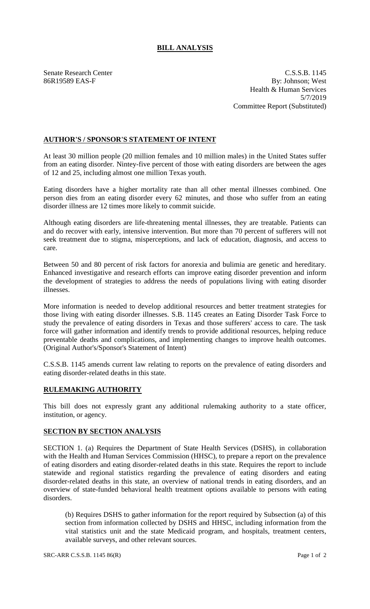## **BILL ANALYSIS**

Senate Research Center C.S.S.B. 1145 86R19589 EAS-F By: Johnson; West Health & Human Services 5/7/2019 Committee Report (Substituted)

## **AUTHOR'S / SPONSOR'S STATEMENT OF INTENT**

At least 30 million people (20 million females and 10 million males) in the United States suffer from an eating disorder. Nintey-five percent of those with eating disorders are between the ages of 12 and 25, including almost one million Texas youth.

Eating disorders have a higher mortality rate than all other mental illnesses combined. One person dies from an eating disorder every 62 minutes, and those who suffer from an eating disorder illness are 12 times more likely to commit suicide.

Although eating disorders are life-threatening mental illnesses, they are treatable. Patients can and do recover with early, intensive intervention. But more than 70 percent of sufferers will not seek treatment due to stigma, misperceptions, and lack of education, diagnosis, and access to care.

Between 50 and 80 percent of risk factors for anorexia and bulimia are genetic and hereditary. Enhanced investigative and research efforts can improve eating disorder prevention and inform the development of strategies to address the needs of populations living with eating disorder illnesses.

More information is needed to develop additional resources and better treatment strategies for those living with eating disorder illnesses. S.B. 1145 creates an Eating Disorder Task Force to study the prevalence of eating disorders in Texas and those sufferers' access to care. The task force will gather information and identify trends to provide additional resources, helping reduce preventable deaths and complications, and implementing changes to improve health outcomes. (Original Author's/Sponsor's Statement of Intent)

C.S.S.B. 1145 amends current law relating to reports on the prevalence of eating disorders and eating disorder-related deaths in this state.

## **RULEMAKING AUTHORITY**

This bill does not expressly grant any additional rulemaking authority to a state officer, institution, or agency.

## **SECTION BY SECTION ANALYSIS**

SECTION 1. (a) Requires the Department of State Health Services (DSHS), in collaboration with the Health and Human Services Commission (HHSC), to prepare a report on the prevalence of eating disorders and eating disorder-related deaths in this state. Requires the report to include statewide and regional statistics regarding the prevalence of eating disorders and eating disorder-related deaths in this state, an overview of national trends in eating disorders, and an overview of state-funded behavioral health treatment options available to persons with eating disorders.

(b) Requires DSHS to gather information for the report required by Subsection (a) of this section from information collected by DSHS and HHSC, including information from the vital statistics unit and the state Medicaid program, and hospitals, treatment centers, available surveys, and other relevant sources.